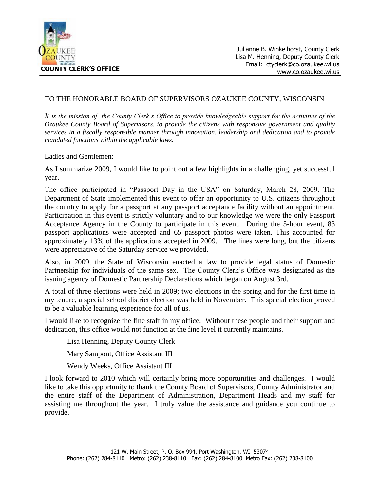

## TO THE HONORABLE BOARD OF SUPERVISORS OZAUKEE COUNTY, WISCONSIN

*It is the mission of the County Clerk's Office to provide knowledgeable support for the activities of the Ozaukee County Board of Supervisors, to provide the citizens with responsive government and quality services in a fiscally responsible manner through innovation, leadership and dedication and to provide mandated functions within the applicable laws.*

Ladies and Gentlemen:

As I summarize 2009, I would like to point out a few highlights in a challenging, yet successful year.

The office participated in "Passport Day in the USA" on Saturday, March 28, 2009. The Department of State implemented this event to offer an opportunity to U.S. citizens throughout the country to apply for a passport at any passport acceptance facility without an appointment. Participation in this event is strictly voluntary and to our knowledge we were the only Passport Acceptance Agency in the County to participate in this event. During the 5-hour event, 83 passport applications were accepted and 65 passport photos were taken. This accounted for approximately 13% of the applications accepted in 2009. The lines were long, but the citizens were appreciative of the Saturday service we provided.

Also, in 2009, the State of Wisconsin enacted a law to provide legal status of Domestic Partnership for individuals of the same sex. The County Clerk's Office was designated as the issuing agency of Domestic Partnership Declarations which began on August 3rd.

A total of three elections were held in 2009; two elections in the spring and for the first time in my tenure, a special school district election was held in November. This special election proved to be a valuable learning experience for all of us.

I would like to recognize the fine staff in my office. Without these people and their support and dedication, this office would not function at the fine level it currently maintains.

Lisa Henning, Deputy County Clerk

Mary Sampont, Office Assistant III

Wendy Weeks, Office Assistant III

I look forward to 2010 which will certainly bring more opportunities and challenges. I would like to take this opportunity to thank the County Board of Supervisors, County Administrator and the entire staff of the Department of Administration, Department Heads and my staff for assisting me throughout the year. I truly value the assistance and guidance you continue to provide.